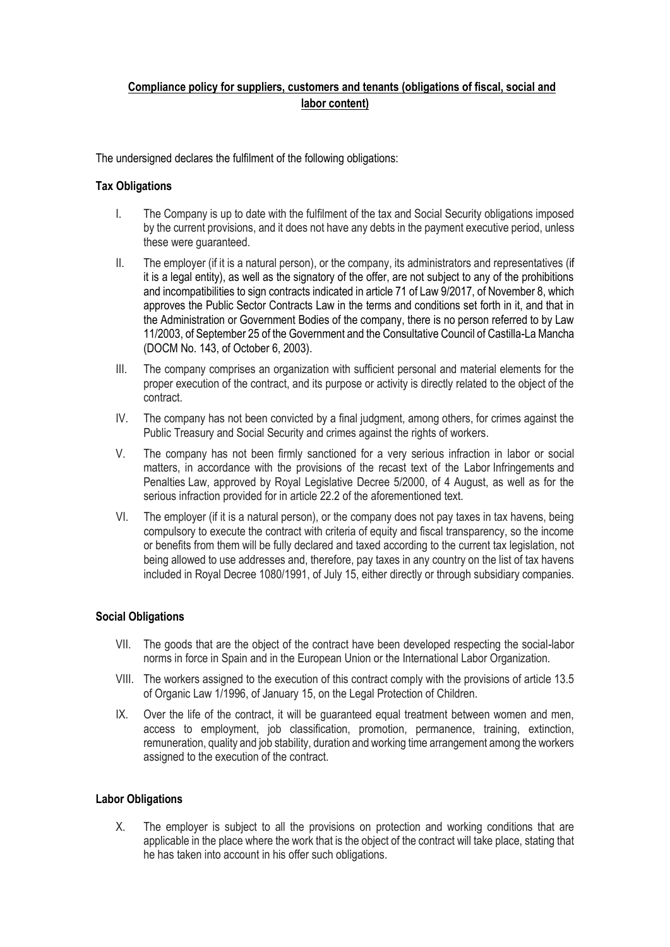## **Compliance policy for suppliers, customers and tenants (obligations of fiscal, social and labor content)**

The undersigned declares the fulfilment of the following obligations:

## **Tax Obligations**

- I. The Company is up to date with the fulfilment of the tax and Social Security obligations imposed by the current provisions, and it does not have any debts in the payment executive period, unless these were guaranteed.
- II. The employer (if it is a natural person), or the company, its administrators and representatives (if it is a legal entity), as well as the signatory of the offer, are not subject to any of the prohibitions and incompatibilities to sign contracts indicated in article 71 of Law 9/2017, of November 8, which approves the Public Sector Contracts Law in the terms and conditions set forth in it, and that in the Administration or Government Bodies of the company, there is no person referred to by Law 11/2003, of September 25 of the Government and the Consultative Council of Castilla-La Mancha (DOCM No. 143, of October 6, 2003).
- III. The company comprises an organization with sufficient personal and material elements for the proper execution of the contract, and its purpose or activity is directly related to the object of the contract.
- IV. The company has not been convicted by a final judgment, among others, for crimes against the Public Treasury and Social Security and crimes against the rights of workers.
- V. The company has not been firmly sanctioned for a very serious infraction in labor or social matters, in accordance with the provisions of the recast text of the Labor Infringements and Penalties Law, approved by Royal Legislative Decree 5/2000, of 4 August, as well as for the serious infraction provided for in article 22.2 of the aforementioned text.
- VI. The employer (if it is a natural person), or the company does not pay taxes in tax havens, being compulsory to execute the contract with criteria of equity and fiscal transparency, so the income or benefits from them will be fully declared and taxed according to the current tax legislation, not being allowed to use addresses and, therefore, pay taxes in any country on the list of tax havens included in Royal Decree 1080/1991, of July 15, either directly or through subsidiary companies.

## **Social Obligations**

- VII. The goods that are the object of the contract have been developed respecting the social-labor norms in force in Spain and in the European Union or the International Labor Organization.
- VIII. The workers assigned to the execution of this contract comply with the provisions of article 13.5 of Organic Law 1/1996, of January 15, on the Legal Protection of Children.
- IX. Over the life of the contract, it will be guaranteed equal treatment between women and men, access to employment, job classification, promotion, permanence, training, extinction, remuneration, quality and job stability, duration and working time arrangement among the workers assigned to the execution of the contract.

## **Labor Obligations**

X. The employer is subject to all the provisions on protection and working conditions that are applicable in the place where the work that is the object of the contract will take place, stating that he has taken into account in his offer such obligations.